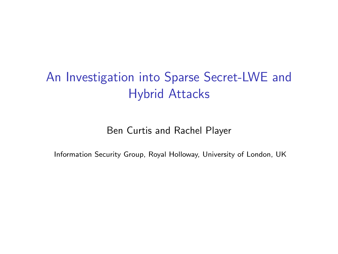## An Investigation into Sparse Secret-LWE and Hybrid Attacks

Ben Curtis and Rachel Player

Information Security Group, Royal Holloway, University of London, UK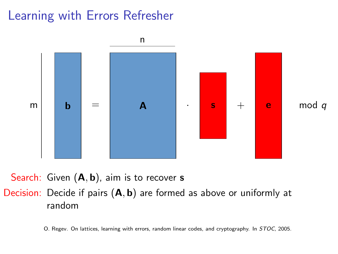## Learning with Errors Refresher



Search: Given  $(A, b)$ , aim is to recover s

Decision: Decide if pairs  $(A, b)$  are formed as above or uniformly at random

O. Regev. On lattices, learning with errors, random linear codes, and cryptography. In STOC, 2005.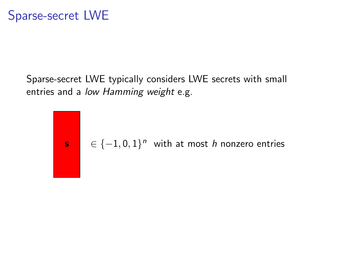Sparse-secret LWE typically considers LWE secrets with small entries and a low Hamming weight e.g.

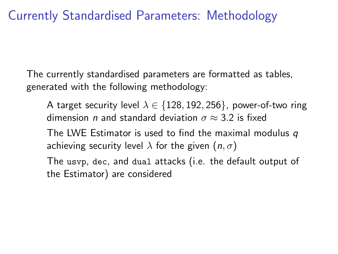The currently standardised parameters are formatted as tables, generated with the following methodology:

A target security level  $\lambda \in \{128, 192, 256\}$ , power-of-two ring dimension *n* and standard deviation  $\sigma \approx 3.2$  is fixed The LWE Estimator is used to find the maximal modulus  $q$ achieving security level  $\lambda$  for the given  $(n, \sigma)$ 

The usvp, dec, and dual attacks (i.e. the default output of the Estimator) are considered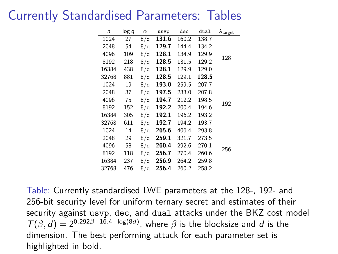#### Currently Standardised Parameters: Tables

| n     | log q | $\alpha$ | usvp           | dec   | dual  | $\lambda$ target |  |
|-------|-------|----------|----------------|-------|-------|------------------|--|
| 1024  | 27    | 8/q      | 131.6          | 160.2 | 138.7 |                  |  |
| 2048  | 54    | 8/q      | 129.7          | 144.4 | 134.2 |                  |  |
| 4096  | 109   | 8/q      | 128.1          | 134.9 | 129.9 | 128              |  |
| 8192  | 218   | 8/q      | 128.5          | 131.5 | 129.2 |                  |  |
| 16384 | 438   | 8/q      | 128.1          | 129.9 | 129.0 |                  |  |
| 32768 | 881   | 8/q      | 128.5          | 129.1 | 128.5 |                  |  |
| 1024  | 19    | 8/q      | 193.0          | 259.5 | 207.7 |                  |  |
| 2048  | 37    | 8/q      | 197.5          | 233.0 | 207.8 | 192              |  |
| 4096  | 75    | 8/q      | 194.7          | 212.2 | 198.5 |                  |  |
| 8192  | 152   | 8/q      | 192.2          | 200.4 | 194.6 |                  |  |
| 16384 | 305   | 8/q      | 192.1          | 196.2 | 193.2 |                  |  |
| 32768 | 611   | 8/q      | 192.7          | 194.2 | 193.7 |                  |  |
| 1024  | 14    | 8/q      | 265.6          | 406.4 | 293.8 |                  |  |
| 2048  | 29    | 8/q      | 259.1          | 321.7 | 273.5 |                  |  |
| 4096  | 58    | 8/q      | 260.4          | 292.6 | 270.1 |                  |  |
| 8192  | 118   | 8/q      | 256.7<br>270.4 |       | 260.6 | 256              |  |
| 16384 | 237   | 8/q      | 256.9          | 264.2 | 259.8 |                  |  |
| 32768 | 476   | 8/q      | 256.4          | 260.2 | 258.2 |                  |  |

Table: Currently standardised LWE parameters at the 128-, 192- and 256-bit security level for uniform ternary secret and estimates of their security against usvp, dec, and dual attacks under the BKZ cost model  $T(\beta, d) = 2^{0.292\beta + 16.4 + \log(8d)}$ , where  $\beta$  is the blocksize and d is the dimension. The best performing attack for each parameter set is highlighted in bold.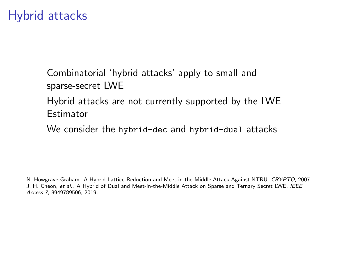#### Hybrid attacks

Combinatorial 'hybrid attacks' apply to small and sparse-secret LWE

Hybrid attacks are not currently supported by the LWE **Estimator** 

We consider the hybrid-dec and hybrid-dual attacks

N. Howgrave-Graham. A Hybrid Lattice-Reduction and Meet-in-the-Middle Attack Against NTRU. CRYPTO, 2007. J. H. Cheon, et al.. A Hybrid of Dual and Meet-in-the-Middle Attack on Sparse and Ternary Secret LWE. IEEE Access 7, 8949789506, 2019.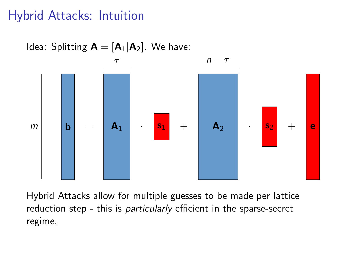## Hybrid Attacks: Intuition



Hybrid Attacks allow for multiple guesses to be made per lattice reduction step - this is *particularly* efficient in the sparse-secret regime.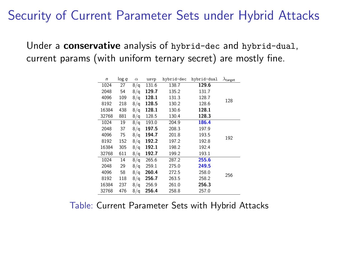#### Security of Current Parameter Sets under Hybrid Attacks

#### Under a conservative analysis of hybrid-dec and hybrid-dual, current params (with uniform ternary secret) are mostly fine.

| $\sqrt{n}$ | log q | $\alpha$ | usvp  | hybrid-dec | hybrid-dual | $\lambda$ target |
|------------|-------|----------|-------|------------|-------------|------------------|
| 1024       | 27    | 8/q      | 131.6 | 138.7      | 129.6       |                  |
| 2048       | 54    | 8/q      | 129.7 | 135.2      | 131.7       |                  |
| 4096       | 109   | 8/q      | 128.1 | 131.3      | 128.7       | 128              |
| 8192       | 218   | 8/q      | 128.5 | 130.2      | 128.6       |                  |
| 16384      | 438   | 8/q      | 128.1 | 130.6      | 128.1       |                  |
| 32768      | 881   | 8/q      | 128.5 | 130.4      | 128.3       |                  |
| 1024       | 19    | 8/q      | 193.0 | 204.9      | 186.4       |                  |
| 2048       | 37    | 8/q      | 197.5 | 208.3      | 197.9       |                  |
| 4096       | 75    | 8/q      | 194.7 | 201.8      | 193.5       | 192              |
| 8192       | 152   | 8/q      | 192.2 | 197.2      | 192.8       |                  |
| 16384      | 305   | 8/q      | 192.1 | 198.2      | 192.4       |                  |
| 32768      | 611   | 8/q      | 192.7 | 199.2      | 193.1       |                  |
| 1024       | 14    | 8/q      | 265.6 | 287.2      | 255.6       |                  |
| 2048       | 29    | 8/q      | 259.1 | 275.0      | 249.5       |                  |
| 4096       | 58    | 8/q      | 260.4 | 272.5      | 258.0       | 256              |
| 8192       | 118   | 8/q      | 256.7 | 263.5      | 258.2       |                  |
| 16384      | 237   | 8/q      | 256.9 | 261.0      | 256.3       |                  |
| 32768      | 476   | 8/q      | 256.4 | 258.8      | 257.0       |                  |

#### Table: Current Parameter Sets with Hybrid Attacks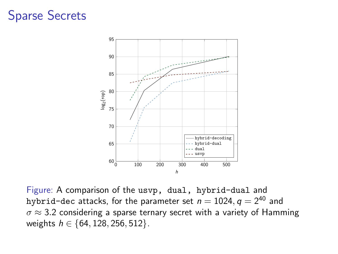#### Sparse Secrets



Figure: A comparison of the usvp, dual, hybrid-dual and hybrid-dec attacks, for the parameter set  $n = 1024$ ,  $q = 2^{40}$  and  $\sigma \approx 3.2$  considering a sparse ternary secret with a variety of Hamming weights  $h \in \{64, 128, 256, 512\}$ .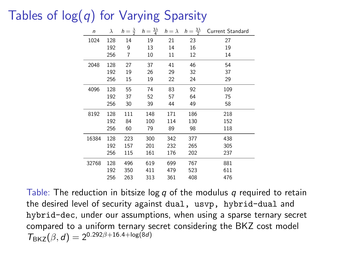## Tables of  $log(q)$  for Varying Sparsity

| $\sqrt{n}$ |     |                |     |     |     | $\lambda$ $h = \frac{\lambda}{2}$ $h = \frac{3\lambda}{4}$ $h = \lambda$ $h = \frac{3\lambda}{2}$ Current Standard |
|------------|-----|----------------|-----|-----|-----|--------------------------------------------------------------------------------------------------------------------|
| 1024       | 128 | 14             | 19  | 21  | 23  | 27                                                                                                                 |
|            | 192 | 9              | 13  | 14  | 16  | 19                                                                                                                 |
|            | 256 | $\overline{7}$ | 10  | 11  | 12  | 14                                                                                                                 |
| 2048       | 128 | 27             | 37  | 41  | 46  | 54                                                                                                                 |
|            | 192 | 19             | 26  | 29  | 32  | 37                                                                                                                 |
|            | 256 | 15             | 19  | 22  | 24  | 29                                                                                                                 |
| 4096       | 128 | 55             | 74  | 83  | 92  | 109                                                                                                                |
|            | 192 | 37             | 52  | 57  | 64  | 75                                                                                                                 |
|            | 256 | 30             | 39  | 44  | 49  | 58                                                                                                                 |
| 8192       | 128 | 111            | 148 | 171 | 186 | 218                                                                                                                |
|            | 192 | 84             | 100 | 114 | 130 | 152                                                                                                                |
|            | 256 | 60             | 79  | 89  | 98  | 118                                                                                                                |
| 16384      | 128 | 223            | 300 | 342 | 377 | 438                                                                                                                |
|            | 192 | 157            | 201 | 232 | 265 | 305                                                                                                                |
|            | 256 | 115            | 161 | 176 | 202 | 237                                                                                                                |
| 32768      | 128 | 496            | 619 | 699 | 767 | 881                                                                                                                |
|            | 192 | 350            | 411 | 479 | 523 | 611                                                                                                                |
|            | 256 | 263            | 313 | 361 | 408 | 476                                                                                                                |

Table: The reduction in bitsize log q of the modulus q required to retain the desired level of security against dual, usvp, hybrid-dual and hybrid-dec, under our assumptions, when using a sparse ternary secret compared to a uniform ternary secret considering the BKZ cost model  $T_{\text{BKZ}}(\beta, d) = 2^{0.292\beta + 16.4 + \log(8d)}$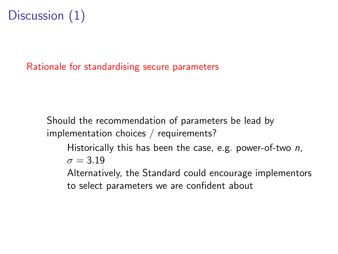# Discussion (1)

Rationale for standardising secure parameters

Should the recommendation of parameters be lead by implementation choices / requirements?

Historically this has been the case, e.g. power-of-two  $n$ ,  $\sigma = 3.19$ 

Alternatively, the Standard could encourage implementors to select parameters we are confident about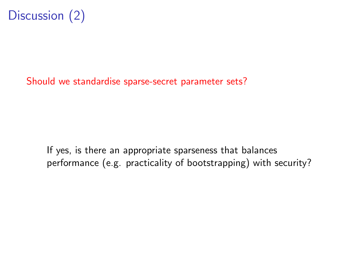

Should we standardise sparse-secret parameter sets?

If yes, is there an appropriate sparseness that balances performance (e.g. practicality of bootstrapping) with security?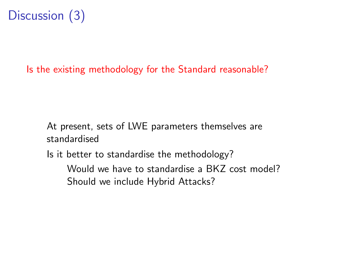# Discussion (3)

#### Is the existing methodology for the Standard reasonable?

At present, sets of LWE parameters themselves are standardised

Is it better to standardise the methodology?

Would we have to standardise a BKZ cost model? Should we include Hybrid Attacks?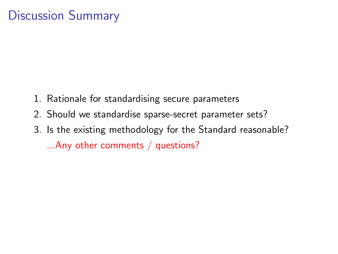## Discussion Summary

- 1. Rationale for standardising secure parameters
- 2. Should we standardise sparse-secret parameter sets?
- 3. Is the existing methodology for the Standard reasonable? ...Any other comments / questions?